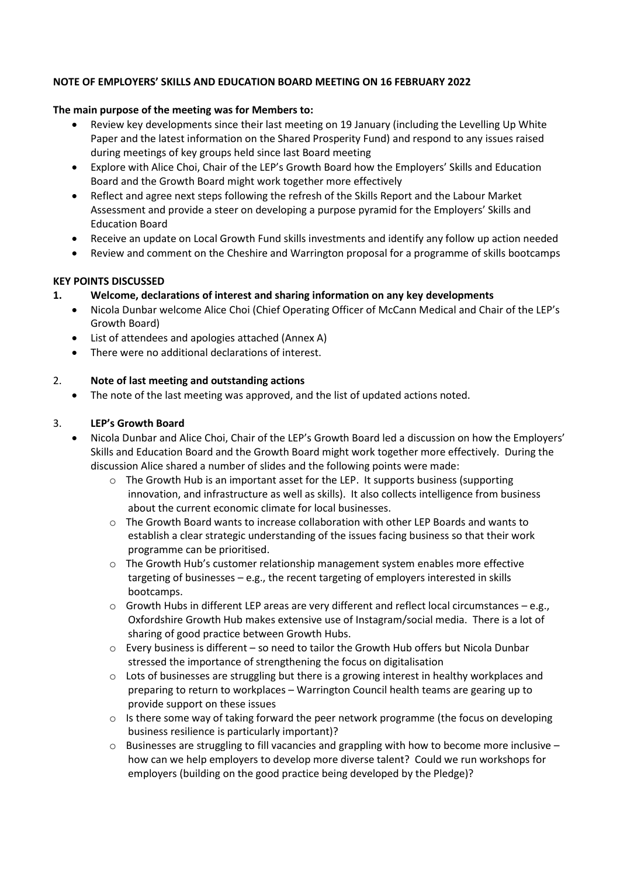#### **NOTE OF EMPLOYERS' SKILLS AND EDUCATION BOARD MEETING ON 16 FEBRUARY 2022**

#### **The main purpose of the meeting was for Members to:**

- Review key developments since their last meeting on 19 January (including the Levelling Up White Paper and the latest information on the Shared Prosperity Fund) and respond to any issues raised during meetings of key groups held since last Board meeting
- Explore with Alice Choi, Chair of the LEP's Growth Board how the Employers' Skills and Education Board and the Growth Board might work together more effectively
- Reflect and agree next steps following the refresh of the Skills Report and the Labour Market Assessment and provide a steer on developing a purpose pyramid for the Employers' Skills and Education Board
- Receive an update on Local Growth Fund skills investments and identify any follow up action needed
- Review and comment on the Cheshire and Warrington proposal for a programme of skills bootcamps

#### **KEY POINTS DISCUSSED**

## **1. Welcome, declarations of interest and sharing information on any key developments**

- Nicola Dunbar welcome Alice Choi (Chief Operating Officer of McCann Medical and Chair of the LEP's Growth Board)
- List of attendees and apologies attached (Annex A)
- There were no additional declarations of interest.

#### 2. **Note of last meeting and outstanding actions**

• The note of the last meeting was approved, and the list of updated actions noted.

#### 3. **LEP's Growth Board**

- Nicola Dunbar and Alice Choi, Chair of the LEP's Growth Board led a discussion on how the Employers' Skills and Education Board and the Growth Board might work together more effectively. During the discussion Alice shared a number of slides and the following points were made:
	- $\circ$  The Growth Hub is an important asset for the LEP. It supports business (supporting innovation, and infrastructure as well as skills). It also collects intelligence from business about the current economic climate for local businesses.
	- $\circ$  The Growth Board wants to increase collaboration with other LEP Boards and wants to establish a clear strategic understanding of the issues facing business so that their work programme can be prioritised.
	- $\circ$  The Growth Hub's customer relationship management system enables more effective targeting of businesses – e.g., the recent targeting of employers interested in skills bootcamps.
	- $\circ$  Growth Hubs in different LEP areas are very different and reflect local circumstances e.g., Oxfordshire Growth Hub makes extensive use of Instagram/social media. There is a lot of sharing of good practice between Growth Hubs.
	- $\circ$  Every business is different so need to tailor the Growth Hub offers but Nicola Dunbar stressed the importance of strengthening the focus on digitalisation
	- $\circ$  Lots of businesses are struggling but there is a growing interest in healthy workplaces and preparing to return to workplaces – Warrington Council health teams are gearing up to provide support on these issues
	- $\circ$  Is there some way of taking forward the peer network programme (the focus on developing business resilience is particularly important)?
	- $\circ$  Businesses are struggling to fill vacancies and grappling with how to become more inclusive how can we help employers to develop more diverse talent? Could we run workshops for employers (building on the good practice being developed by the Pledge)?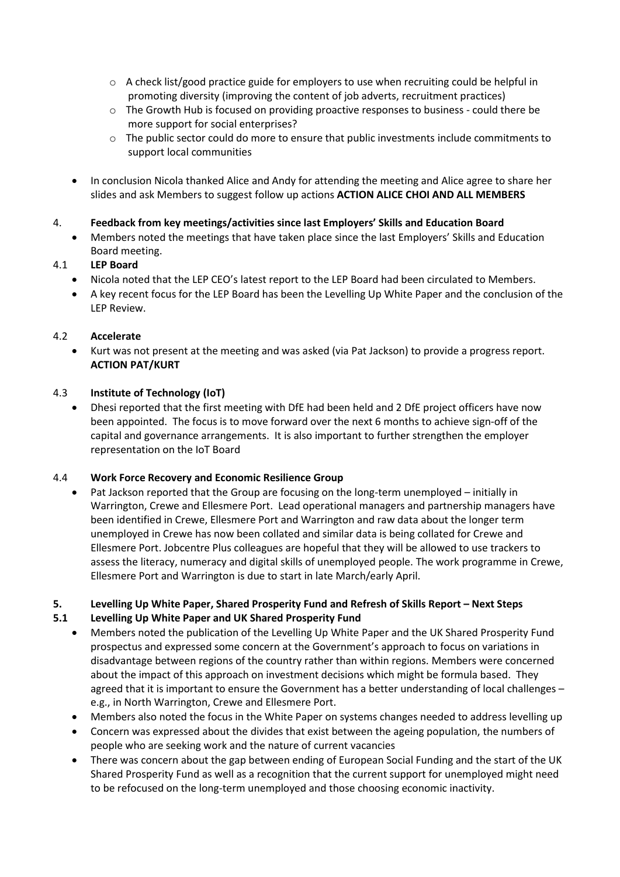- $\circ$  A check list/good practice guide for employers to use when recruiting could be helpful in promoting diversity (improving the content of job adverts, recruitment practices)
- $\circ$  The Growth Hub is focused on providing proactive responses to business could there be more support for social enterprises?
- $\circ$  The public sector could do more to ensure that public investments include commitments to support local communities
- In conclusion Nicola thanked Alice and Andy for attending the meeting and Alice agree to share her slides and ask Members to suggest follow up actions **ACTION ALICE CHOI AND ALL MEMBERS**

#### 4. **Feedback from key meetings/activities since last Employers' Skills and Education Board**

• Members noted the meetings that have taken place since the last Employers' Skills and Education Board meeting.

## 4.1 **LEP Board**

- Nicola noted that the LEP CEO's latest report to the LEP Board had been circulated to Members.
- A key recent focus for the LEP Board has been the Levelling Up White Paper and the conclusion of the LEP Review.

## 4.2 **Accelerate**

• Kurt was not present at the meeting and was asked (via Pat Jackson) to provide a progress report. **ACTION PAT/KURT**

## 4.3 **Institute of Technology (IoT)**

• Dhesi reported that the first meeting with DfE had been held and 2 DfE project officers have now been appointed. The focus is to move forward over the next 6 months to achieve sign-off of the capital and governance arrangements. It is also important to further strengthen the employer representation on the IoT Board

## 4.4 **Work Force Recovery and Economic Resilience Group**

Pat Jackson reported that the Group are focusing on the long-term unemployed – initially in Warrington, Crewe and Ellesmere Port. Lead operational managers and partnership managers have been identified in Crewe, Ellesmere Port and Warrington and raw data about the longer term unemployed in Crewe has now been collated and similar data is being collated for Crewe and Ellesmere Port. Jobcentre Plus colleagues are hopeful that they will be allowed to use trackers to assess the literacy, numeracy and digital skills of unemployed people. The work programme in Crewe, Ellesmere Port and Warrington is due to start in late March/early April.

## **5. Levelling Up White Paper, Shared Prosperity Fund and Refresh of Skills Report – Next Steps**

## **5.1 Levelling Up White Paper and UK Shared Prosperity Fund**

- Members noted the publication of the Levelling Up White Paper and the UK Shared Prosperity Fund prospectus and expressed some concern at the Government's approach to focus on variations in disadvantage between regions of the country rather than within regions. Members were concerned about the impact of this approach on investment decisions which might be formula based. They agreed that it is important to ensure the Government has a better understanding of local challenges – e.g., in North Warrington, Crewe and Ellesmere Port.
- Members also noted the focus in the White Paper on systems changes needed to address levelling up
- Concern was expressed about the divides that exist between the ageing population, the numbers of people who are seeking work and the nature of current vacancies
- There was concern about the gap between ending of European Social Funding and the start of the UK Shared Prosperity Fund as well as a recognition that the current support for unemployed might need to be refocused on the long-term unemployed and those choosing economic inactivity.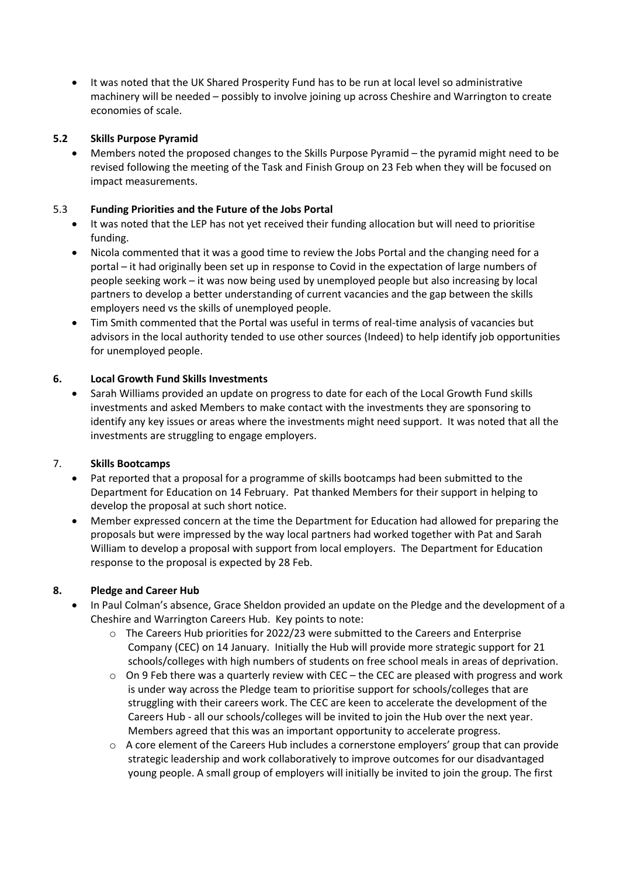• It was noted that the UK Shared Prosperity Fund has to be run at local level so administrative machinery will be needed – possibly to involve joining up across Cheshire and Warrington to create economies of scale.

## **5.2 Skills Purpose Pyramid**

• Members noted the proposed changes to the Skills Purpose Pyramid – the pyramid might need to be revised following the meeting of the Task and Finish Group on 23 Feb when they will be focused on impact measurements.

## 5.3 **Funding Priorities and the Future of the Jobs Portal**

- It was noted that the LEP has not yet received their funding allocation but will need to prioritise funding.
- Nicola commented that it was a good time to review the Jobs Portal and the changing need for a portal – it had originally been set up in response to Covid in the expectation of large numbers of people seeking work – it was now being used by unemployed people but also increasing by local partners to develop a better understanding of current vacancies and the gap between the skills employers need vs the skills of unemployed people.
- Tim Smith commented that the Portal was useful in terms of real-time analysis of vacancies but advisors in the local authority tended to use other sources (Indeed) to help identify job opportunities for unemployed people.

# **6. Local Growth Fund Skills Investments**

• Sarah Williams provided an update on progress to date for each of the Local Growth Fund skills investments and asked Members to make contact with the investments they are sponsoring to identify any key issues or areas where the investments might need support. It was noted that all the investments are struggling to engage employers.

## 7. **Skills Bootcamps**

- Pat reported that a proposal for a programme of skills bootcamps had been submitted to the Department for Education on 14 February. Pat thanked Members for their support in helping to develop the proposal at such short notice.
- Member expressed concern at the time the Department for Education had allowed for preparing the proposals but were impressed by the way local partners had worked together with Pat and Sarah William to develop a proposal with support from local employers. The Department for Education response to the proposal is expected by 28 Feb.

# **8. Pledge and Career Hub**

- In Paul Colman's absence, Grace Sheldon provided an update on the Pledge and the development of a Cheshire and Warrington Careers Hub. Key points to note:
	- $\circ$  The Careers Hub priorities for 2022/23 were submitted to the Careers and Enterprise Company (CEC) on 14 January. Initially the Hub will provide more strategic support for 21 schools/colleges with high numbers of students on free school meals in areas of deprivation.
	- $\circ$  On 9 Feb there was a quarterly review with CEC the CEC are pleased with progress and work is under way across the Pledge team to prioritise support for schools/colleges that are struggling with their careers work. The CEC are keen to accelerate the development of the Careers Hub - all our schools/colleges will be invited to join the Hub over the next year. Members agreed that this was an important opportunity to accelerate progress.
	- $\circ$  A core element of the Careers Hub includes a cornerstone employers' group that can provide strategic leadership and work collaboratively to improve outcomes for our disadvantaged young people. A small group of employers will initially be invited to join the group. The first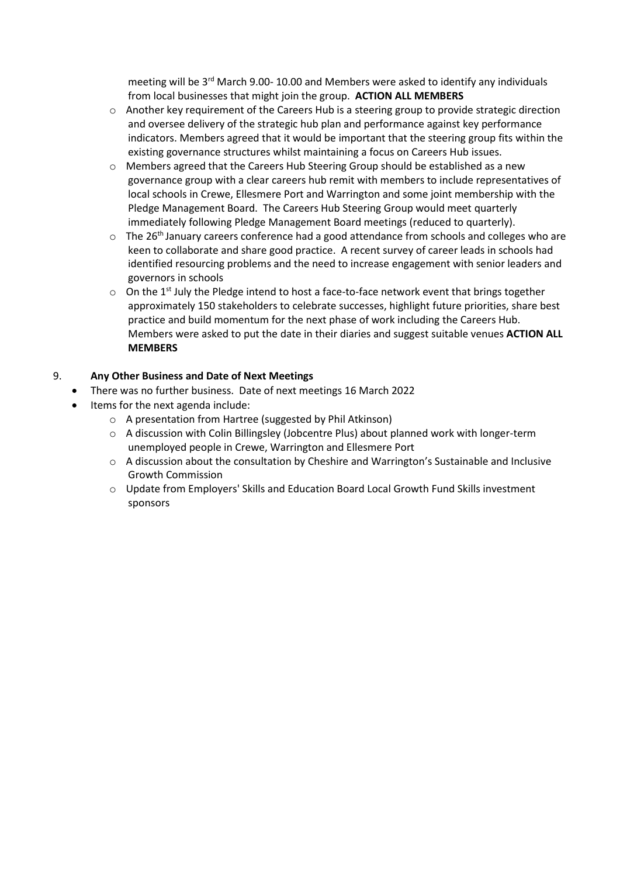meeting will be  $3^{rd}$  March 9.00- 10.00 and Members were asked to identify any individuals from local businesses that might join the group. **ACTION ALL MEMBERS**

- $\circ$  Another key requirement of the Careers Hub is a steering group to provide strategic direction and oversee delivery of the strategic hub plan and performance against key performance indicators. Members agreed that it would be important that the steering group fits within the existing governance structures whilst maintaining a focus on Careers Hub issues.
- $\circ$  Members agreed that the Careers Hub Steering Group should be established as a new governance group with a clear careers hub remit with members to include representatives of local schools in Crewe, Ellesmere Port and Warrington and some joint membership with the Pledge Management Board. The Careers Hub Steering Group would meet quarterly immediately following Pledge Management Board meetings (reduced to quarterly).
- $\circ$  The 26<sup>th</sup> January careers conference had a good attendance from schools and colleges who are keen to collaborate and share good practice. A recent survey of career leads in schools had identified resourcing problems and the need to increase engagement with senior leaders and governors in schools
- $\circ$  On the 1<sup>st</sup> July the Pledge intend to host a face-to-face network event that brings together approximately 150 stakeholders to celebrate successes, highlight future priorities, share best practice and build momentum for the next phase of work including the Careers Hub. Members were asked to put the date in their diaries and suggest suitable venues **ACTION ALL MEMBERS**

# 9. **Any Other Business and Date of Next Meetings**

- There was no further business. Date of next meetings 16 March 2022
- Items for the next agenda include:
	- o A presentation from Hartree (suggested by Phil Atkinson)
	- $\circ$  A discussion with Colin Billingsley (Jobcentre Plus) about planned work with longer-term unemployed people in Crewe, Warrington and Ellesmere Port
	- o A discussion about the consultation by Cheshire and Warrington's Sustainable and Inclusive Growth Commission
	- o Update from Employers' Skills and Education Board Local Growth Fund Skills investment sponsors